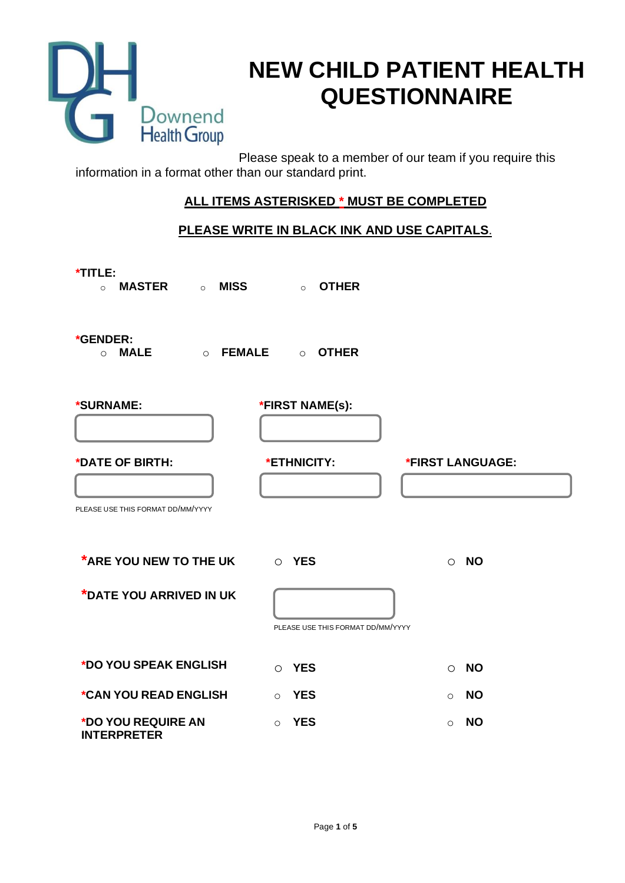

# **NEW CHILD PATIENT HEALTH QUESTIONNAIRE**

Please speak to a member of our team if you require this information in a format other than our standard print.

# **ALL ITEMS ASTERISKED \* MUST BE COMPLETED**

# **PLEASE WRITE IN BLACK INK AND USE CAPITALS**.

| *TITLE:<br>MISS<br><b>MASTER</b> o<br>$\circ$        | <b>OTHER</b><br>$\circ$           |                      |
|------------------------------------------------------|-----------------------------------|----------------------|
| *GENDER:<br><b>MALE</b><br>$\circ$ FEMALE<br>$\circ$ | <b>OTHER</b><br>$\circ$           |                      |
| *SURNAME:                                            | *FIRST NAME(s):                   |                      |
| *DATE OF BIRTH:                                      | *ETHNICITY:                       | *FIRST LANGUAGE:     |
| PLEASE USE THIS FORMAT DD/MM/YYYY                    |                                   |                      |
| <b>*ARE YOU NEW TO THE UK</b>                        | O YES                             | <b>NO</b><br>$\circ$ |
| *DATE YOU ARRIVED IN UK                              | PLEASE USE THIS FORMAT DD/MM/YYYY |                      |
| *DO YOU SPEAK ENGLISH                                | <b>YES</b><br>$\Omega$            | <b>NO</b><br>$\circ$ |
| *CAN YOU READ ENGLISH                                | <b>YES</b><br>$\circ$             | <b>NO</b><br>$\circ$ |
| *DO YOU REQUIRE AN<br><b>INTERPRETER</b>             | <b>YES</b><br>$\Omega$            | <b>NO</b><br>$\circ$ |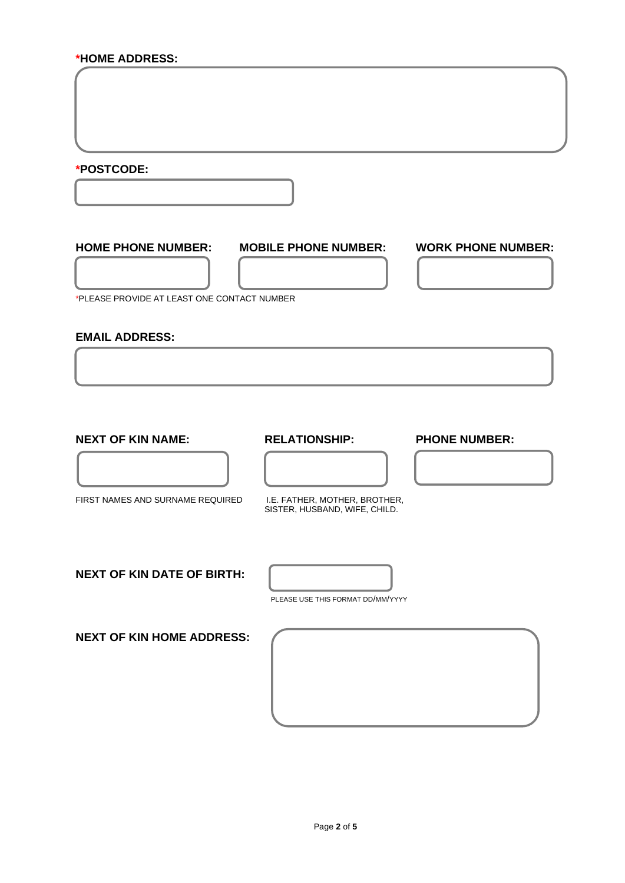### **\*HOME ADDRESS:**

**\*POSTCODE:**

### **HOME PHONE NUMBER: MOBILE PHONE NUMBER: WORK PHONE NUMBER:**

\*PLEASE PROVIDE AT LEAST ONE CONTACT NUMBER

### **EMAIL ADDRESS:**

**NEXT OF KIN NAME: RELATIONSHIP: PHONE NUMBER:**

FIRST NAMES AND SURNAME REQUIRED I.E. FATHER, MOTHER, BROTHER,

SISTER, HUSBAND, WIFE, CHILD.

**NEXT OF KIN DATE OF BIRTH:**



PLEASE USE THIS FORMAT DD/MM/YYYY

**NEXT OF KIN HOME ADDRESS:**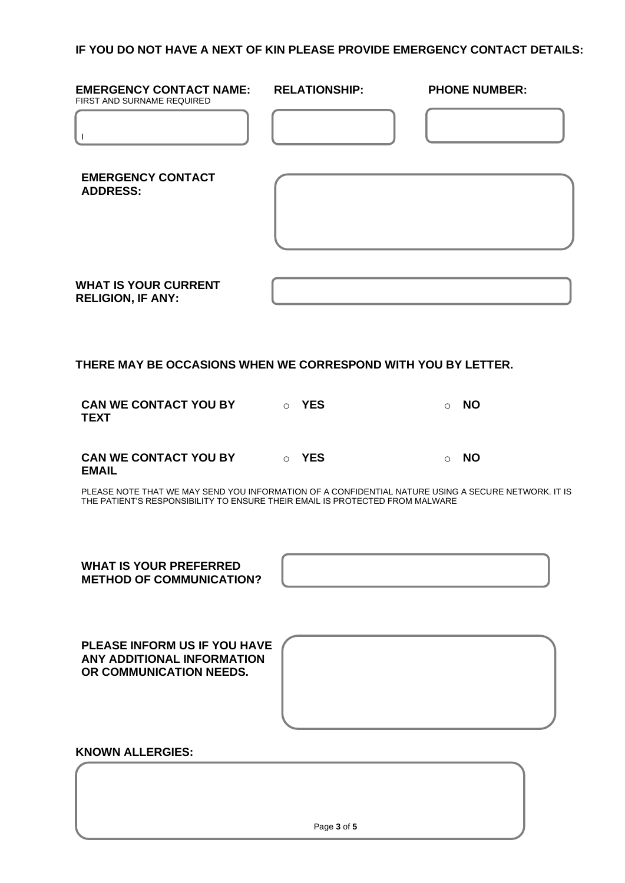## **IF YOU DO NOT HAVE A NEXT OF KIN PLEASE PROVIDE EMERGENCY CONTACT DETAILS:**

| <b>EMERGENCY CONTACT NAME:</b>                                                        | <b>RELATIONSHIP:</b> | <b>PHONE NUMBER:</b>                                                                                |
|---------------------------------------------------------------------------------------|----------------------|-----------------------------------------------------------------------------------------------------|
| FIRST AND SURNAME REQUIRED<br>$\mathbf{I}$                                            |                      |                                                                                                     |
| <b>EMERGENCY CONTACT</b><br><b>ADDRESS:</b>                                           |                      |                                                                                                     |
| <b>WHAT IS YOUR CURRENT</b><br><b>RELIGION, IF ANY:</b>                               |                      |                                                                                                     |
| THERE MAY BE OCCASIONS WHEN WE CORRESPOND WITH YOU BY LETTER.                         |                      |                                                                                                     |
| <b>CAN WE CONTACT YOU BY CAN WE CONTACT YOU BY</b><br><b>TEXT</b>                     |                      | <b>NO</b><br>$\circ$                                                                                |
| <b>CAN WE CONTACT YOU BY CAN WES</b><br><b>EMAIL</b>                                  |                      | <b>NO</b><br>$\circ$                                                                                |
| THE PATIENT'S RESPONSIBILITY TO ENSURE THEIR EMAIL IS PROTECTED FROM MALWARE          |                      | PLEASE NOTE THAT WE MAY SEND YOU INFORMATION OF A CONFIDENTIAL NATURE USING A SECURE NETWORK. IT IS |
| <b>WHAT IS YOUR PREFERRED</b><br><b>METHOD OF COMMUNICATION?</b>                      |                      |                                                                                                     |
| PLEASE INFORM US IF YOU HAVE<br>ANY ADDITIONAL INFORMATION<br>OR COMMUNICATION NEEDS. |                      |                                                                                                     |

# **KNOWN ALLERGIES:**

Page **3** of **5**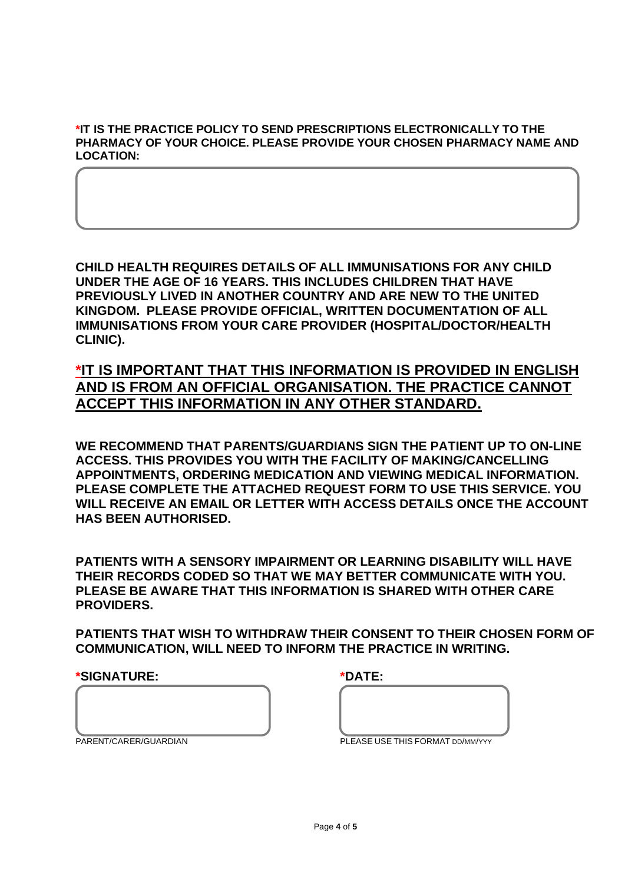### **\*IT IS THE PRACTICE POLICY TO SEND PRESCRIPTIONS ELECTRONICALLY TO THE PHARMACY OF YOUR CHOICE. PLEASE PROVIDE YOUR CHOSEN PHARMACY NAME AND LOCATION:**

**CHILD HEALTH REQUIRES DETAILS OF ALL IMMUNISATIONS FOR ANY CHILD UNDER THE AGE OF 16 YEARS. THIS INCLUDES CHILDREN THAT HAVE PREVIOUSLY LIVED IN ANOTHER COUNTRY AND ARE NEW TO THE UNITED KINGDOM. PLEASE PROVIDE OFFICIAL, WRITTEN DOCUMENTATION OF ALL IMMUNISATIONS FROM YOUR CARE PROVIDER (HOSPITAL/DOCTOR/HEALTH CLINIC).**

**\*IT IS IMPORTANT THAT THIS INFORMATION IS PROVIDED IN ENGLISH AND IS FROM AN OFFICIAL ORGANISATION. THE PRACTICE CANNOT ACCEPT THIS INFORMATION IN ANY OTHER STANDARD.** 

**WE RECOMMEND THAT PARENTS/GUARDIANS SIGN THE PATIENT UP TO ON-LINE ACCESS. THIS PROVIDES YOU WITH THE FACILITY OF MAKING/CANCELLING APPOINTMENTS, ORDERING MEDICATION AND VIEWING MEDICAL INFORMATION. PLEASE COMPLETE THE ATTACHED REQUEST FORM TO USE THIS SERVICE. YOU WILL RECEIVE AN EMAIL OR LETTER WITH ACCESS DETAILS ONCE THE ACCOUNT HAS BEEN AUTHORISED.** 

**PATIENTS WITH A SENSORY IMPAIRMENT OR LEARNING DISABILITY WILL HAVE THEIR RECORDS CODED SO THAT WE MAY BETTER COMMUNICATE WITH YOU. PLEASE BE AWARE THAT THIS INFORMATION IS SHARED WITH OTHER CARE PROVIDERS.** 

**PATIENTS THAT WISH TO WITHDRAW THEIR CONSENT TO THEIR CHOSEN FORM OF COMMUNICATION, WILL NEED TO INFORM THE PRACTICE IN WRITING.** 

**\*SIGNATURE: \*DATE:**

| $\begin{array}{c}\n\mathbf{A} & \mathbf{B} & \mathbf{B} \\ \mathbf{A} & \mathbf{B} & \mathbf{B} \\ \mathbf{A} & \mathbf{B} & \mathbf{B}\n\end{array}$ |  |
|-------------------------------------------------------------------------------------------------------------------------------------------------------|--|

|--|--|

| $\mathbf{u}$ FACE HCF THIC FODMAT po $\mathbf{h}$ $\mathbf{u}$ , $\mathbf{h}$ |  |
|-------------------------------------------------------------------------------|--|

PARENT/CARER/GUARDIAN PLEASE USE THIS FORMAT DD/MM/YYY